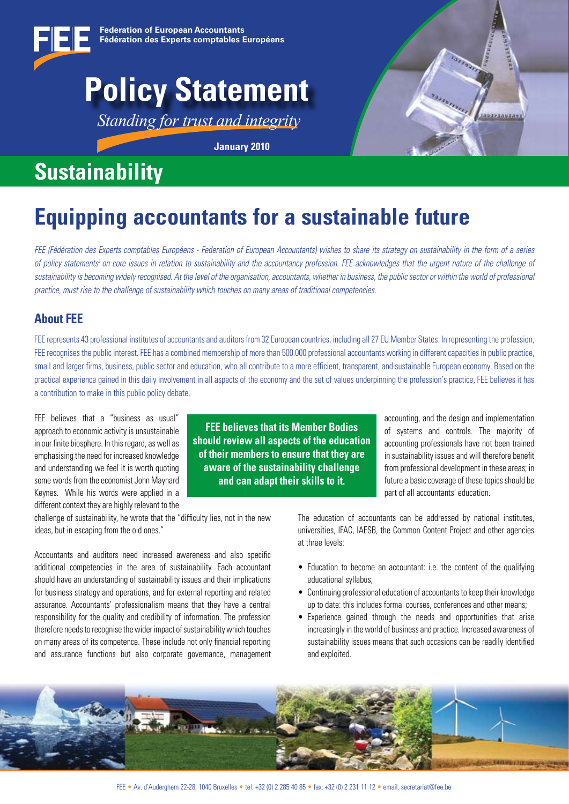

# **Policy Statement**

*Standing for trust and integrity*

**January 2010**



# **Sustainability**

# **Equipping accountants for a sustainable future**

*FEE (Fédération des Experts comptables Européens - Federation of European Accountants) wishes to share its strategy on sustainability in the form of a series*  of policy statements<sup>1</sup> on core issues in relation to sustainability and the accountancy profession. FEE acknowledges that the urgent nature of the challenge of *sustainability is becoming widely recognised. At the level of the organisation, accountants, whether in business, the public sector or within the world of professional practice, must rise to the challenge of sustainability which touches on many areas of traditional competencies.*

# **About FEE**

FEE represents 43 professional institutes of accountants and auditors from 32 European countries, including all 27 EU Member States. In representing the profession, FEE recognises the public interest. FEE has a combined membership of more than 500,000 professional accountants working in different capacities in public practice. small and larger firms, business, public sector and education, who all contribute to a more efficient, transparent, and sustainable European economy. Based on the practical experience gained in this daily involvement in all aspects of the economy and the set of values underpinning the profession's practice, FEE believes it has a contribution to make in this public policy debate.

FEE believes that a "business as usual" approach to economic activity is unsustainable in our finite biosphere. In this regard, as well as emphasising the need for increased knowledge and understanding we feel it is worth quoting some words from the economist John Maynard Keynes. While his words were applied in a different context they are highly relevant to the

**FEE believes that its Member Bodies should review all aspects of the education of their members to ensure that they are aware of the sustainability challenge and can adapt their skills to it.**

accounting, and the design and implementation of systems and controls. The majority of accounting professionals have not been trained in sustainability issues and will therefore benefit from professional development in these areas; in future a basic coverage of these topics should be part of all accountants' education.

challenge of sustainability, he wrote that the "difficulty lies, not in the new ideas, but in escaping from the old ones."

Accountants and auditors need increased awareness and also specific additional competencies in the area of sustainability. Each accountant should have an understanding of sustainability issues and their implications for business strategy and operations, and for external reporting and related assurance. Accountants' professionalism means that they have a central responsibility for the quality and credibility of information. The profession therefore needs to recognise the wider impact of sustainability which touches on many areas of its competence. These include not only financial reporting and assurance functions but also corporate governance, management The education of accountants can be addressed by national institutes, universities, IFAC, IAESB, the Common Content Project and other agencies at three levels:

- Education to become an accountant: i.e. the content of the qualifying educational syllabus;
- $\bullet$  Continuing professional education of accountants to keep their knowledge up to date: this includes formal courses, conferences and other means;
- Experience gained through the needs and opportunities that arise increasingly in the world of business and practice. Increased awareness of sustainability issues means that such occasions can be readily identified and exploited.